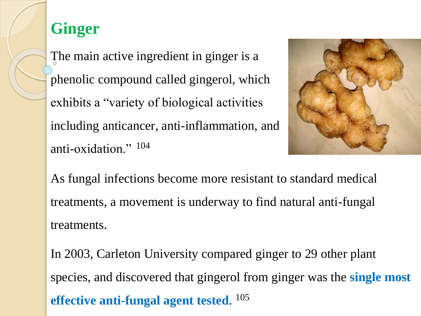## **Ginger**

The main active ingredient in ginger is a phenolic compound called gingerol, which exhibits a "variety of biological activities including anticancer, anti-inflammation, and anti-oxidation." 104



As fungal infections become more resistant to standard medical treatments, a movement is underway to find natural anti-fungal treatments.

In 2003, Carleton University compared ginger to 29 other plant species, and discovered that gingerol from ginger was the **single most effective anti-fungal agent tested**. 105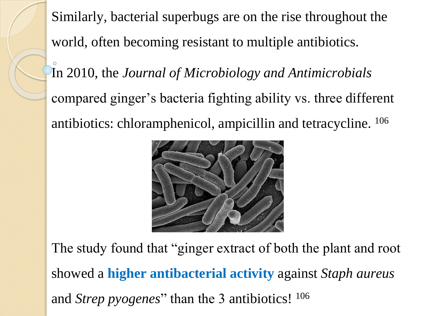Similarly, bacterial superbugs are on the rise throughout the world, often becoming resistant to multiple antibiotics.

In 2010, the *Journal of Microbiology and Antimicrobials* compared ginger's bacteria fighting ability vs. three different antibiotics: chloramphenicol, ampicillin and tetracycline. <sup>106</sup>



The study found that "ginger extract of both the plant and root showed a **higher antibacterial activity** against *Staph aureus*  and *Strep pyogenes*" than the 3 antibiotics! <sup>106</sup>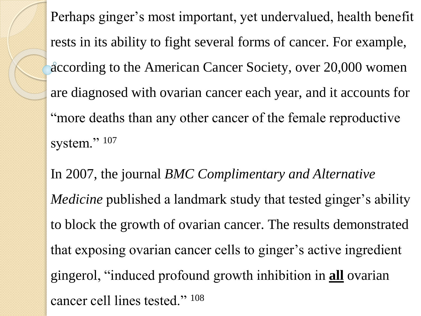Perhaps ginger's most important, yet undervalued, health benefit rests in its ability to fight several forms of cancer. For example, according to the American Cancer Society, over 20,000 women are diagnosed with ovarian cancer each year, and it accounts for "more deaths than any other cancer of the female reproductive system." 107

In 2007, the journal *BMC Complimentary and Alternative Medicine* published a landmark study that tested ginger's ability to block the growth of ovarian cancer. The results demonstrated that exposing ovarian cancer cells to ginger's active ingredient gingerol, "induced profound growth inhibition in **all** ovarian cancer cell lines tested." 108